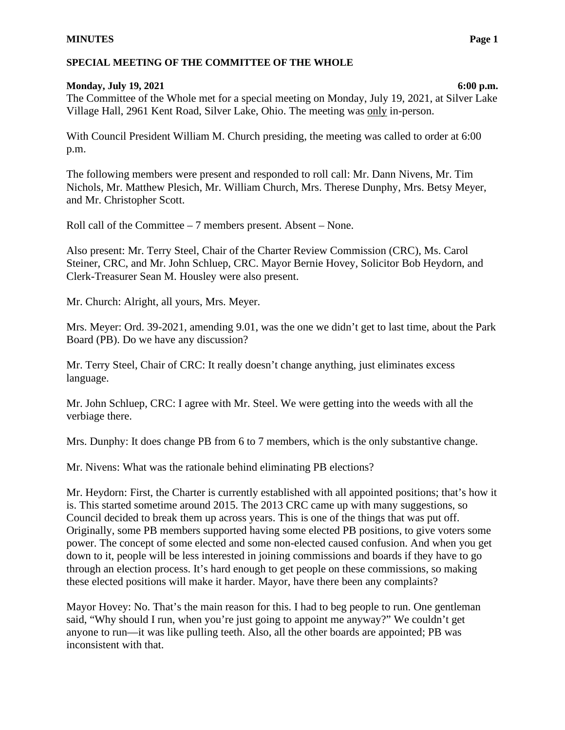# **Monday, July 19, 2021 6:00 p.m.**

The Committee of the Whole met for a special meeting on Monday, July 19, 2021, at Silver Lake Village Hall, 2961 Kent Road, Silver Lake, Ohio. The meeting was only in-person.

With Council President William M. Church presiding, the meeting was called to order at 6:00 p.m.

The following members were present and responded to roll call: Mr. Dann Nivens, Mr. Tim Nichols, Mr. Matthew Plesich, Mr. William Church, Mrs. Therese Dunphy, Mrs. Betsy Meyer, and Mr. Christopher Scott.

Roll call of the Committee – 7 members present. Absent – None.

Also present: Mr. Terry Steel, Chair of the Charter Review Commission (CRC), Ms. Carol Steiner, CRC, and Mr. John Schluep, CRC. Mayor Bernie Hovey, Solicitor Bob Heydorn, and Clerk-Treasurer Sean M. Housley were also present.

Mr. Church: Alright, all yours, Mrs. Meyer.

Mrs. Meyer: Ord. 39-2021, amending 9.01, was the one we didn't get to last time, about the Park Board (PB). Do we have any discussion?

Mr. Terry Steel, Chair of CRC: It really doesn't change anything, just eliminates excess language.

Mr. John Schluep, CRC: I agree with Mr. Steel. We were getting into the weeds with all the verbiage there.

Mrs. Dunphy: It does change PB from 6 to 7 members, which is the only substantive change.

Mr. Nivens: What was the rationale behind eliminating PB elections?

Mr. Heydorn: First, the Charter is currently established with all appointed positions; that's how it is. This started sometime around 2015. The 2013 CRC came up with many suggestions, so Council decided to break them up across years. This is one of the things that was put off. Originally, some PB members supported having some elected PB positions, to give voters some power. The concept of some elected and some non-elected caused confusion. And when you get down to it, people will be less interested in joining commissions and boards if they have to go through an election process. It's hard enough to get people on these commissions, so making these elected positions will make it harder. Mayor, have there been any complaints?

Mayor Hovey: No. That's the main reason for this. I had to beg people to run. One gentleman said, "Why should I run, when you're just going to appoint me anyway?" We couldn't get anyone to run—it was like pulling teeth. Also, all the other boards are appointed; PB was inconsistent with that.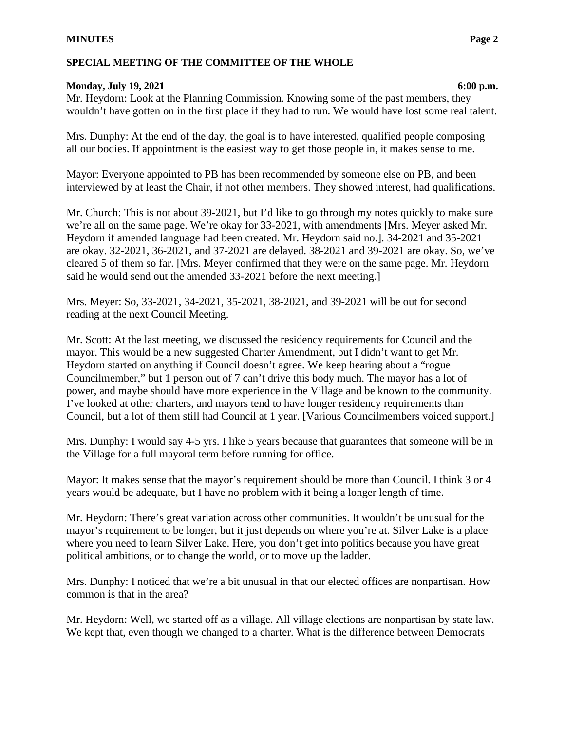### **Monday, July 19, 2021 6:00 p.m.**

Mr. Heydorn: Look at the Planning Commission. Knowing some of the past members, they wouldn't have gotten on in the first place if they had to run. We would have lost some real talent.

Mrs. Dunphy: At the end of the day, the goal is to have interested, qualified people composing all our bodies. If appointment is the easiest way to get those people in, it makes sense to me.

Mayor: Everyone appointed to PB has been recommended by someone else on PB, and been interviewed by at least the Chair, if not other members. They showed interest, had qualifications.

Mr. Church: This is not about 39-2021, but I'd like to go through my notes quickly to make sure we're all on the same page. We're okay for 33-2021, with amendments [Mrs. Meyer asked Mr. Heydorn if amended language had been created. Mr. Heydorn said no.]. 34-2021 and 35-2021 are okay. 32-2021, 36-2021, and 37-2021 are delayed. 38-2021 and 39-2021 are okay. So, we've cleared 5 of them so far. [Mrs. Meyer confirmed that they were on the same page. Mr. Heydorn said he would send out the amended 33-2021 before the next meeting.]

Mrs. Meyer: So, 33-2021, 34-2021, 35-2021, 38-2021, and 39-2021 will be out for second reading at the next Council Meeting.

Mr. Scott: At the last meeting, we discussed the residency requirements for Council and the mayor. This would be a new suggested Charter Amendment, but I didn't want to get Mr. Heydorn started on anything if Council doesn't agree. We keep hearing about a "rogue Councilmember," but 1 person out of 7 can't drive this body much. The mayor has a lot of power, and maybe should have more experience in the Village and be known to the community. I've looked at other charters, and mayors tend to have longer residency requirements than Council, but a lot of them still had Council at 1 year. [Various Councilmembers voiced support.]

Mrs. Dunphy: I would say 4-5 yrs. I like 5 years because that guarantees that someone will be in the Village for a full mayoral term before running for office.

Mayor: It makes sense that the mayor's requirement should be more than Council. I think 3 or 4 years would be adequate, but I have no problem with it being a longer length of time.

Mr. Heydorn: There's great variation across other communities. It wouldn't be unusual for the mayor's requirement to be longer, but it just depends on where you're at. Silver Lake is a place where you need to learn Silver Lake. Here, you don't get into politics because you have great political ambitions, or to change the world, or to move up the ladder.

Mrs. Dunphy: I noticed that we're a bit unusual in that our elected offices are nonpartisan. How common is that in the area?

Mr. Heydorn: Well, we started off as a village. All village elections are nonpartisan by state law. We kept that, even though we changed to a charter. What is the difference between Democrats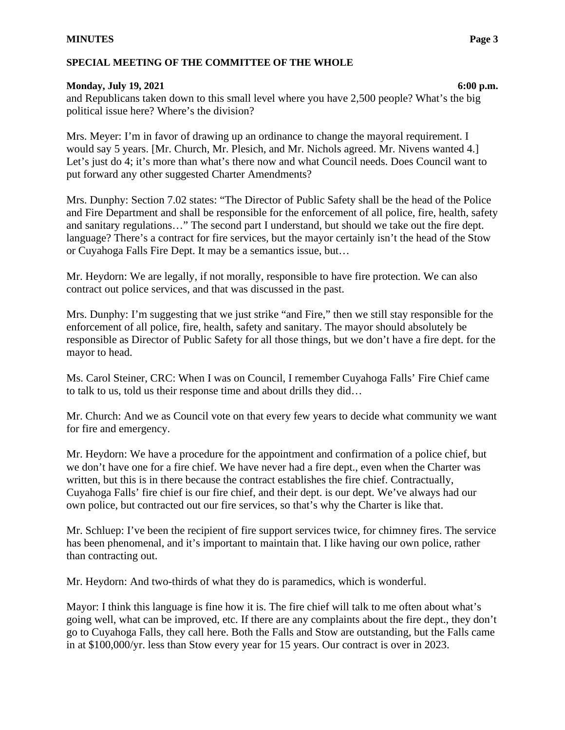# **Monday, July 19, 2021 6:00 p.m.**

and Republicans taken down to this small level where you have 2,500 people? What's the big political issue here? Where's the division?

Mrs. Meyer: I'm in favor of drawing up an ordinance to change the mayoral requirement. I would say 5 years. [Mr. Church, Mr. Plesich, and Mr. Nichols agreed. Mr. Nivens wanted 4.] Let's just do 4; it's more than what's there now and what Council needs. Does Council want to put forward any other suggested Charter Amendments?

Mrs. Dunphy: Section 7.02 states: "The Director of Public Safety shall be the head of the Police and Fire Department and shall be responsible for the enforcement of all police, fire, health, safety and sanitary regulations…" The second part I understand, but should we take out the fire dept. language? There's a contract for fire services, but the mayor certainly isn't the head of the Stow or Cuyahoga Falls Fire Dept. It may be a semantics issue, but…

Mr. Heydorn: We are legally, if not morally, responsible to have fire protection. We can also contract out police services, and that was discussed in the past.

Mrs. Dunphy: I'm suggesting that we just strike "and Fire," then we still stay responsible for the enforcement of all police, fire, health, safety and sanitary. The mayor should absolutely be responsible as Director of Public Safety for all those things, but we don't have a fire dept. for the mayor to head.

Ms. Carol Steiner, CRC: When I was on Council, I remember Cuyahoga Falls' Fire Chief came to talk to us, told us their response time and about drills they did…

Mr. Church: And we as Council vote on that every few years to decide what community we want for fire and emergency.

Mr. Heydorn: We have a procedure for the appointment and confirmation of a police chief, but we don't have one for a fire chief. We have never had a fire dept., even when the Charter was written, but this is in there because the contract establishes the fire chief. Contractually, Cuyahoga Falls' fire chief is our fire chief, and their dept. is our dept. We've always had our own police, but contracted out our fire services, so that's why the Charter is like that.

Mr. Schluep: I've been the recipient of fire support services twice, for chimney fires. The service has been phenomenal, and it's important to maintain that. I like having our own police, rather than contracting out.

Mr. Heydorn: And two-thirds of what they do is paramedics, which is wonderful.

Mayor: I think this language is fine how it is. The fire chief will talk to me often about what's going well, what can be improved, etc. If there are any complaints about the fire dept., they don't go to Cuyahoga Falls, they call here. Both the Falls and Stow are outstanding, but the Falls came in at \$100,000/yr. less than Stow every year for 15 years. Our contract is over in 2023.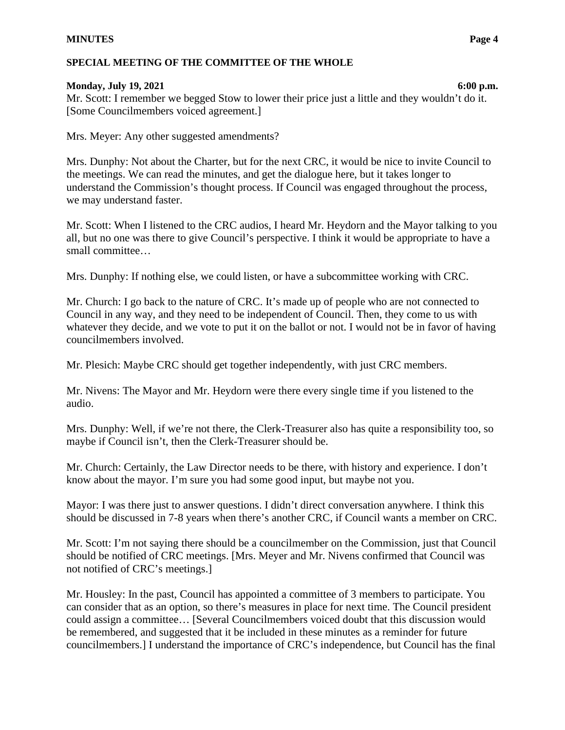### **MINUTES Page 4**

### **SPECIAL MEETING OF THE COMMITTEE OF THE WHOLE**

#### **Monday, July 19, 2021 6:00 p.m.**

Mr. Scott: I remember we begged Stow to lower their price just a little and they wouldn't do it. [Some Councilmembers voiced agreement.]

Mrs. Meyer: Any other suggested amendments?

Mrs. Dunphy: Not about the Charter, but for the next CRC, it would be nice to invite Council to the meetings. We can read the minutes, and get the dialogue here, but it takes longer to understand the Commission's thought process. If Council was engaged throughout the process, we may understand faster.

Mr. Scott: When I listened to the CRC audios, I heard Mr. Heydorn and the Mayor talking to you all, but no one was there to give Council's perspective. I think it would be appropriate to have a small committee…

Mrs. Dunphy: If nothing else, we could listen, or have a subcommittee working with CRC.

Mr. Church: I go back to the nature of CRC. It's made up of people who are not connected to Council in any way, and they need to be independent of Council. Then, they come to us with whatever they decide, and we vote to put it on the ballot or not. I would not be in favor of having councilmembers involved.

Mr. Plesich: Maybe CRC should get together independently, with just CRC members.

Mr. Nivens: The Mayor and Mr. Heydorn were there every single time if you listened to the audio.

Mrs. Dunphy: Well, if we're not there, the Clerk-Treasurer also has quite a responsibility too, so maybe if Council isn't, then the Clerk-Treasurer should be.

Mr. Church: Certainly, the Law Director needs to be there, with history and experience. I don't know about the mayor. I'm sure you had some good input, but maybe not you.

Mayor: I was there just to answer questions. I didn't direct conversation anywhere. I think this should be discussed in 7-8 years when there's another CRC, if Council wants a member on CRC.

Mr. Scott: I'm not saying there should be a councilmember on the Commission, just that Council should be notified of CRC meetings. [Mrs. Meyer and Mr. Nivens confirmed that Council was not notified of CRC's meetings.]

Mr. Housley: In the past, Council has appointed a committee of 3 members to participate. You can consider that as an option, so there's measures in place for next time. The Council president could assign a committee… [Several Councilmembers voiced doubt that this discussion would be remembered, and suggested that it be included in these minutes as a reminder for future councilmembers.] I understand the importance of CRC's independence, but Council has the final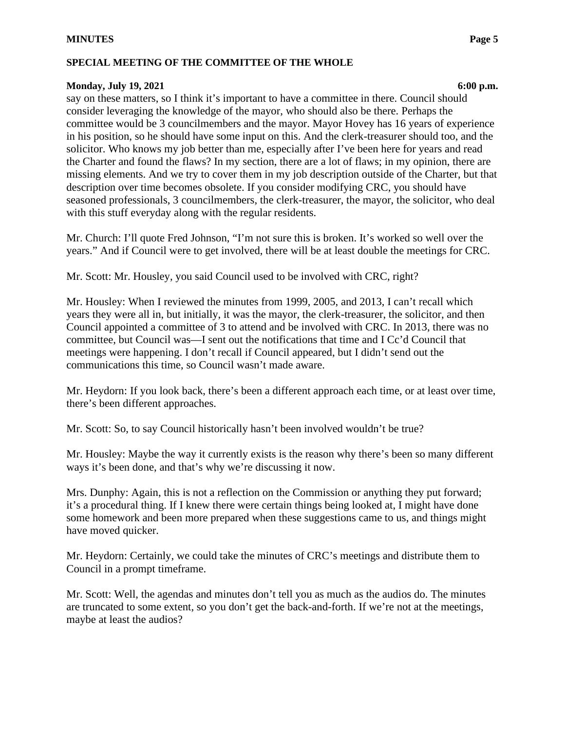### **Monday, July 19, 2021 6:00 p.m.**

say on these matters, so I think it's important to have a committee in there. Council should consider leveraging the knowledge of the mayor, who should also be there. Perhaps the committee would be 3 councilmembers and the mayor. Mayor Hovey has 16 years of experience in his position, so he should have some input on this. And the clerk-treasurer should too, and the solicitor. Who knows my job better than me, especially after I've been here for years and read the Charter and found the flaws? In my section, there are a lot of flaws; in my opinion, there are missing elements. And we try to cover them in my job description outside of the Charter, but that description over time becomes obsolete. If you consider modifying CRC, you should have seasoned professionals, 3 councilmembers, the clerk-treasurer, the mayor, the solicitor, who deal with this stuff everyday along with the regular residents.

Mr. Church: I'll quote Fred Johnson, "I'm not sure this is broken. It's worked so well over the years." And if Council were to get involved, there will be at least double the meetings for CRC.

Mr. Scott: Mr. Housley, you said Council used to be involved with CRC, right?

Mr. Housley: When I reviewed the minutes from 1999, 2005, and 2013, I can't recall which years they were all in, but initially, it was the mayor, the clerk-treasurer, the solicitor, and then Council appointed a committee of 3 to attend and be involved with CRC. In 2013, there was no committee, but Council was—I sent out the notifications that time and I Cc'd Council that meetings were happening. I don't recall if Council appeared, but I didn't send out the communications this time, so Council wasn't made aware.

Mr. Heydorn: If you look back, there's been a different approach each time, or at least over time, there's been different approaches.

Mr. Scott: So, to say Council historically hasn't been involved wouldn't be true?

Mr. Housley: Maybe the way it currently exists is the reason why there's been so many different ways it's been done, and that's why we're discussing it now.

Mrs. Dunphy: Again, this is not a reflection on the Commission or anything they put forward; it's a procedural thing. If I knew there were certain things being looked at, I might have done some homework and been more prepared when these suggestions came to us, and things might have moved quicker.

Mr. Heydorn: Certainly, we could take the minutes of CRC's meetings and distribute them to Council in a prompt timeframe.

Mr. Scott: Well, the agendas and minutes don't tell you as much as the audios do. The minutes are truncated to some extent, so you don't get the back-and-forth. If we're not at the meetings, maybe at least the audios?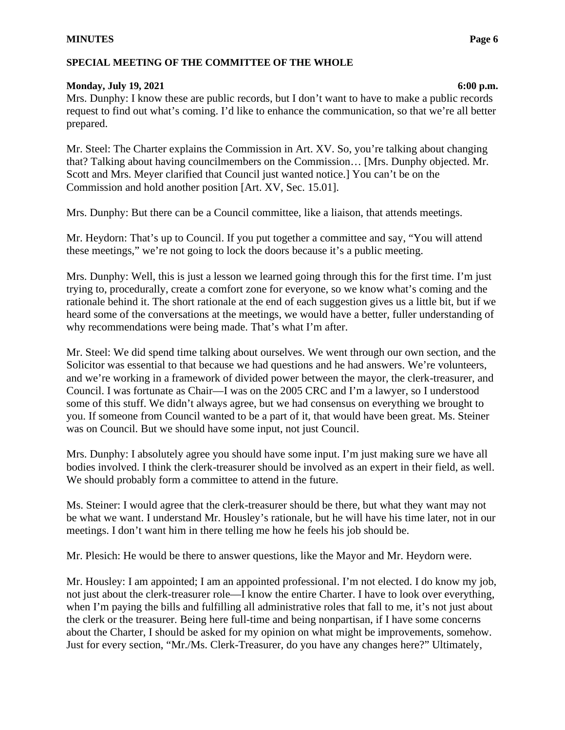#### **MINUTES Page 6**

### **SPECIAL MEETING OF THE COMMITTEE OF THE WHOLE**

### **Monday, July 19, 2021 6:00 p.m.**

Mrs. Dunphy: I know these are public records, but I don't want to have to make a public records request to find out what's coming. I'd like to enhance the communication, so that we're all better prepared.

Mr. Steel: The Charter explains the Commission in Art. XV. So, you're talking about changing that? Talking about having councilmembers on the Commission… [Mrs. Dunphy objected. Mr. Scott and Mrs. Meyer clarified that Council just wanted notice.] You can't be on the Commission and hold another position [Art. XV, Sec. 15.01].

Mrs. Dunphy: But there can be a Council committee, like a liaison, that attends meetings.

Mr. Heydorn: That's up to Council. If you put together a committee and say, "You will attend these meetings," we're not going to lock the doors because it's a public meeting.

Mrs. Dunphy: Well, this is just a lesson we learned going through this for the first time. I'm just trying to, procedurally, create a comfort zone for everyone, so we know what's coming and the rationale behind it. The short rationale at the end of each suggestion gives us a little bit, but if we heard some of the conversations at the meetings, we would have a better, fuller understanding of why recommendations were being made. That's what I'm after.

Mr. Steel: We did spend time talking about ourselves. We went through our own section, and the Solicitor was essential to that because we had questions and he had answers. We're volunteers, and we're working in a framework of divided power between the mayor, the clerk-treasurer, and Council. I was fortunate as Chair—I was on the 2005 CRC and I'm a lawyer, so I understood some of this stuff. We didn't always agree, but we had consensus on everything we brought to you. If someone from Council wanted to be a part of it, that would have been great. Ms. Steiner was on Council. But we should have some input, not just Council.

Mrs. Dunphy: I absolutely agree you should have some input. I'm just making sure we have all bodies involved. I think the clerk-treasurer should be involved as an expert in their field, as well. We should probably form a committee to attend in the future.

Ms. Steiner: I would agree that the clerk-treasurer should be there, but what they want may not be what we want. I understand Mr. Housley's rationale, but he will have his time later, not in our meetings. I don't want him in there telling me how he feels his job should be.

Mr. Plesich: He would be there to answer questions, like the Mayor and Mr. Heydorn were.

Mr. Housley: I am appointed; I am an appointed professional. I'm not elected. I do know my job, not just about the clerk-treasurer role—I know the entire Charter. I have to look over everything, when I'm paying the bills and fulfilling all administrative roles that fall to me, it's not just about the clerk or the treasurer. Being here full-time and being nonpartisan, if I have some concerns about the Charter, I should be asked for my opinion on what might be improvements, somehow. Just for every section, "Mr./Ms. Clerk-Treasurer, do you have any changes here?" Ultimately,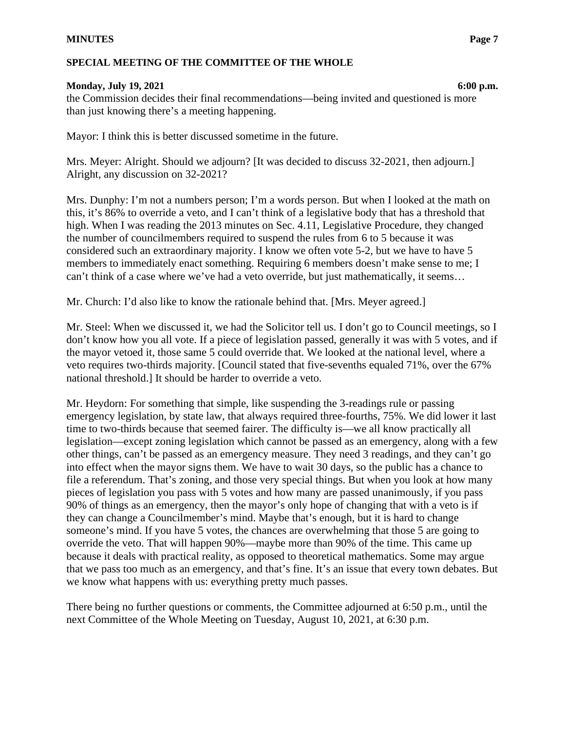#### **Monday, July 19, 2021 6:00 p.m.**

the Commission decides their final recommendations—being invited and questioned is more than just knowing there's a meeting happening.

Mayor: I think this is better discussed sometime in the future.

Mrs. Meyer: Alright. Should we adjourn? [It was decided to discuss 32-2021, then adjourn.] Alright, any discussion on 32-2021?

Mrs. Dunphy: I'm not a numbers person; I'm a words person. But when I looked at the math on this, it's 86% to override a veto, and I can't think of a legislative body that has a threshold that high. When I was reading the 2013 minutes on Sec. 4.11, Legislative Procedure, they changed the number of councilmembers required to suspend the rules from 6 to 5 because it was considered such an extraordinary majority. I know we often vote 5-2, but we have to have 5 members to immediately enact something. Requiring 6 members doesn't make sense to me; I can't think of a case where we've had a veto override, but just mathematically, it seems…

Mr. Church: I'd also like to know the rationale behind that. [Mrs. Meyer agreed.]

Mr. Steel: When we discussed it, we had the Solicitor tell us. I don't go to Council meetings, so I don't know how you all vote. If a piece of legislation passed, generally it was with 5 votes, and if the mayor vetoed it, those same 5 could override that. We looked at the national level, where a veto requires two-thirds majority. [Council stated that five-sevenths equaled 71%, over the 67% national threshold.] It should be harder to override a veto.

Mr. Heydorn: For something that simple, like suspending the 3-readings rule or passing emergency legislation, by state law, that always required three-fourths, 75%. We did lower it last time to two-thirds because that seemed fairer. The difficulty is—we all know practically all legislation—except zoning legislation which cannot be passed as an emergency, along with a few other things, can't be passed as an emergency measure. They need 3 readings, and they can't go into effect when the mayor signs them. We have to wait 30 days, so the public has a chance to file a referendum. That's zoning, and those very special things. But when you look at how many pieces of legislation you pass with 5 votes and how many are passed unanimously, if you pass 90% of things as an emergency, then the mayor's only hope of changing that with a veto is if they can change a Councilmember's mind. Maybe that's enough, but it is hard to change someone's mind. If you have 5 votes, the chances are overwhelming that those 5 are going to override the veto. That will happen 90%—maybe more than 90% of the time. This came up because it deals with practical reality, as opposed to theoretical mathematics. Some may argue that we pass too much as an emergency, and that's fine. It's an issue that every town debates. But we know what happens with us: everything pretty much passes.

There being no further questions or comments, the Committee adjourned at 6:50 p.m., until the next Committee of the Whole Meeting on Tuesday, August 10, 2021, at 6:30 p.m.